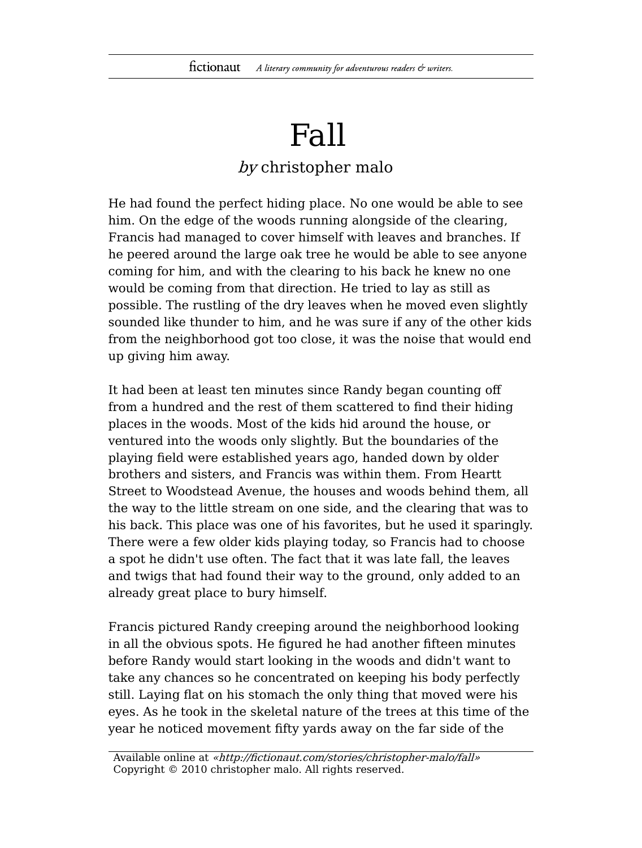## Fall

## by christopher malo

He had found the perfect hiding place. No one would be able to see him. On the edge of the woods running alongside of the clearing, Francis had managed to cover himself with leaves and branches. If he peered around the large oak tree he would be able to see anyone coming for him, and with the clearing to his back he knew no one would be coming from that direction. He tried to lay as still as possible. The rustling of the dry leaves when he moved even slightly sounded like thunder to him, and he was sure if any of the other kids from the neighborhood got too close, it was the noise that would end up giving him away.

It had been at least ten minutes since Randy began counting off from a hundred and the rest of them scattered to find their hiding places in the woods. Most of the kids hid around the house, or ventured into the woods only slightly. But the boundaries of the playing field were established years ago, handed down by older brothers and sisters, and Francis was within them. From Heartt Street to Woodstead Avenue, the houses and woods behind them, all the way to the little stream on one side, and the clearing that was to his back. This place was one of his favorites, but he used it sparingly. There were a few older kids playing today, so Francis had to choose a spot he didn't use often. The fact that it was late fall, the leaves and twigs that had found their way to the ground, only added to an already great place to bury himself.

Francis pictured Randy creeping around the neighborhood looking in all the obvious spots. He figured he had another fifteen minutes before Randy would start looking in the woods and didn't want to take any chances so he concentrated on keeping his body perfectly still. Laying flat on his stomach the only thing that moved were his eyes. As he took in the skeletal nature of the trees at this time of the year he noticed movement fifty yards away on the far side of the

Available online at «http://fictionaut.com/stories/christopher-malo/fall» Copyright © 2010 christopher malo. All rights reserved.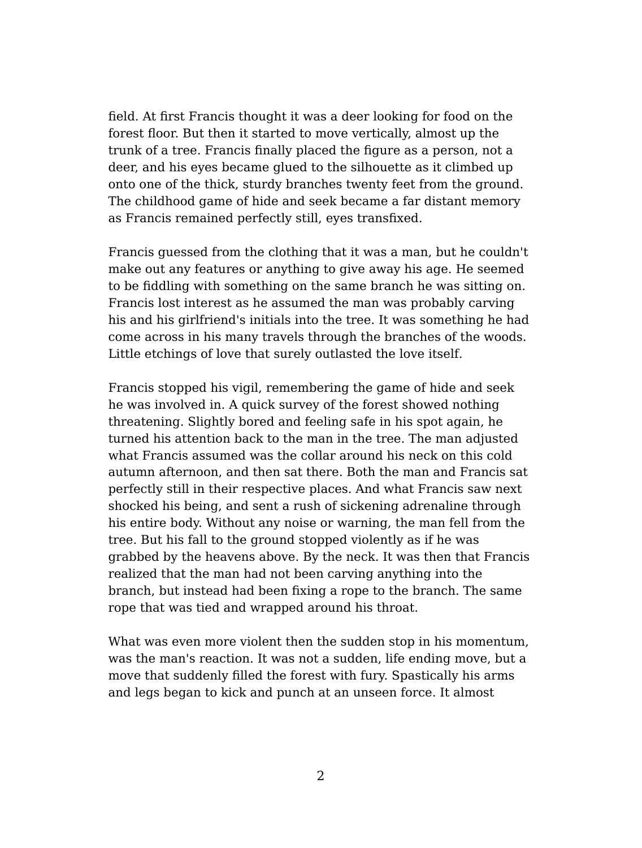field. At first Francis thought it was a deer looking for food on the forest floor. But then it started to move vertically, almost up the trunk of a tree. Francis finally placed the figure as a person, not a deer, and his eyes became glued to the silhouette as it climbed up onto one of the thick, sturdy branches twenty feet from the ground. The childhood game of hide and seek became a far distant memory as Francis remained perfectly still, eyes transfixed.

Francis guessed from the clothing that it was a man, but he couldn't make out any features or anything to give away his age. He seemed to be fiddling with something on the same branch he was sitting on. Francis lost interest as he assumed the man was probably carving his and his girlfriend's initials into the tree. It was something he had come across in his many travels through the branches of the woods. Little etchings of love that surely outlasted the love itself.

Francis stopped his vigil, remembering the game of hide and seek he was involved in. A quick survey of the forest showed nothing threatening. Slightly bored and feeling safe in his spot again, he turned his attention back to the man in the tree. The man adjusted what Francis assumed was the collar around his neck on this cold autumn afternoon, and then sat there. Both the man and Francis sat perfectly still in their respective places. And what Francis saw next shocked his being, and sent a rush of sickening adrenaline through his entire body. Without any noise or warning, the man fell from the tree. But his fall to the ground stopped violently as if he was grabbed by the heavens above. By the neck. It was then that Francis realized that the man had not been carving anything into the branch, but instead had been fixing a rope to the branch. The same rope that was tied and wrapped around his throat.

What was even more violent then the sudden stop in his momentum, was the man's reaction. It was not a sudden, life ending move, but a move that suddenly filled the forest with fury. Spastically his arms and legs began to kick and punch at an unseen force. It almost